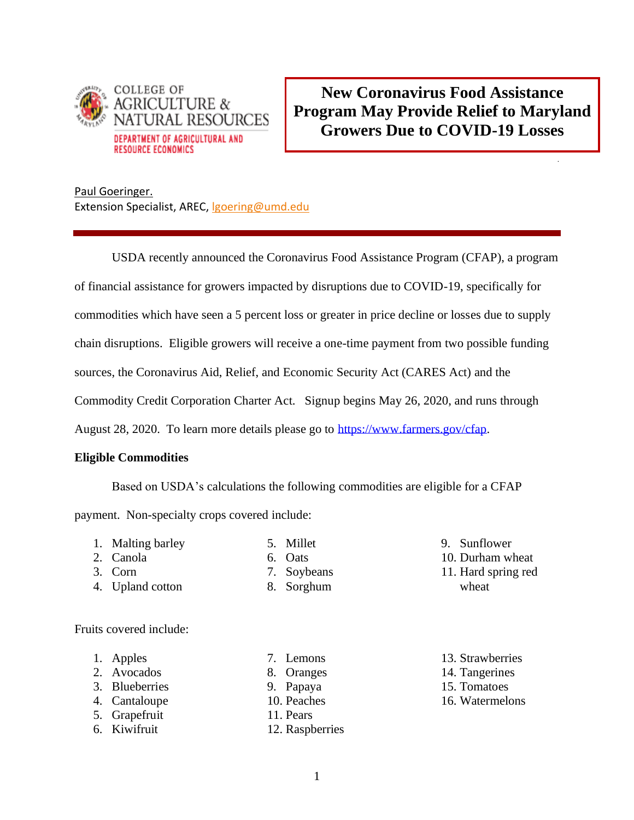

**New Coronavirus Food Assistance Program May Provide Relief to Maryland Growers Due to COVID-19 Losses**

.

Paul Goeringer. Extension Specialist, AREC, [lgoering@umd.edu](mailto:lgoering@umd.edu)

USDA recently announced the Coronavirus Food Assistance Program (CFAP), a program

of financial assistance for growers impacted by disruptions due to COVID-19, specifically for

commodities which have seen a 5 percent loss or greater in price decline or losses due to supply

chain disruptions. Eligible growers will receive a one-time payment from two possible funding

sources, the Coronavirus Aid, Relief, and Economic Security Act (CARES Act) and the

Commodity Credit Corporation Charter Act. Signup begins May 26, 2020, and runs through

August 28, 2020. To learn more details please go to [https://www.farmers.gov/cfap.](https://www.farmers.gov/cfap)

### **Eligible Commodities**

Based on USDA's calculations the following commodities are eligible for a CFAP

payment. Non-specialty crops covered include:

1. Malting barley

4. Upland cotton

2. Canola 3. Corn

- 5. Millet 6. Oats
- - 7. Soybeans
	- 8. Sorghum
- 9. Sunflower
- 10. Durham wheat
- 11. Hard spring red wheat

Fruits covered include:

- 1. Apples
- 2. Avocados
- 3. Blueberries
- 4. Cantaloupe
- 5. Grapefruit
- 6. Kiwifruit
- 7. Lemons
- 8. Oranges
- 9. Papaya
- 10. Peaches
- 11. Pears
- 12. Raspberries
- 13. Strawberries
- 14. Tangerines
- 15. Tomatoes
- 16. Watermelons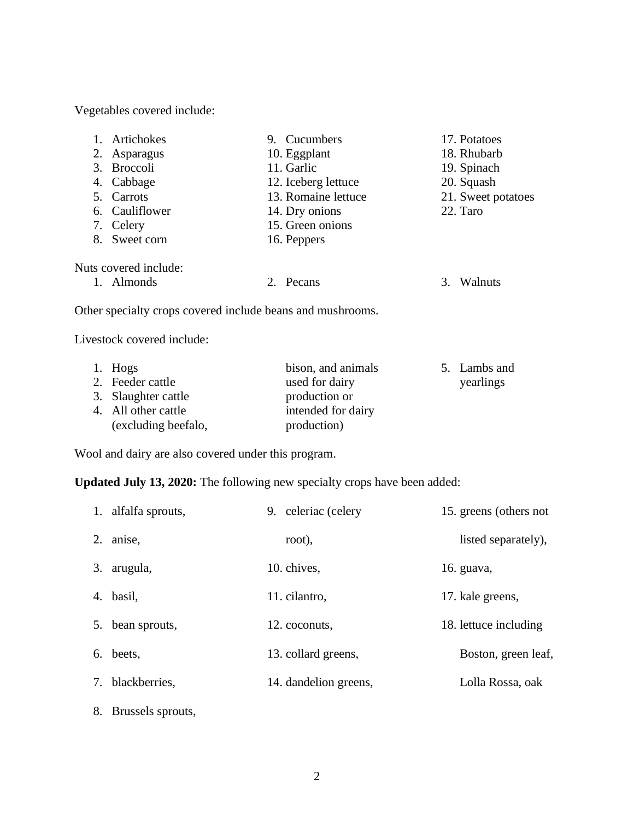Vegetables covered include:

|    | Artichokes                                                 | 9. Cucumbers        |    | 17. Potatoes       |
|----|------------------------------------------------------------|---------------------|----|--------------------|
| 2. | Asparagus                                                  | 10. Eggplant        |    | 18. Rhubarb        |
|    | 3. Broccoli                                                | 11. Garlic          |    | 19. Spinach        |
| 4. | Cabbage                                                    | 12. Iceberg lettuce |    | 20. Squash         |
|    | 5. Carrots                                                 | 13. Romaine lettuce |    | 21. Sweet potatoes |
|    | 6. Cauliflower                                             | 14. Dry onions      |    | 22. Taro           |
|    | 7. Celery                                                  | 15. Green onions    |    |                    |
| 8. | Sweet corn                                                 | 16. Peppers         |    |                    |
|    | Nuts covered include:                                      |                     |    |                    |
|    | 1. Almonds                                                 | 2. Pecans           | 3. | Walnuts            |
|    | Other specialty crops covered include beans and mushrooms. |                     |    |                    |
|    | Livestock covered include:                                 |                     |    |                    |

| 1. Hogs             | bison, and animals | 5. Lambs and |
|---------------------|--------------------|--------------|
| 2. Feeder cattle    | used for dairy     | yearlings    |
| 3. Slaughter cattle | production or      |              |
| 4. All other cattle | intended for dairy |              |
| (excluding beefalo, | production)        |              |

Wool and dairy are also covered under this program.

**Updated July 13, 2020:** The following new specialty crops have been added:

| 1. alfalfa sprouts,  | 9. celeriac (celery   | 15. greens (others not |
|----------------------|-----------------------|------------------------|
| 2. anise,            | root),                | listed separately),    |
| 3. arugula,          | 10. chives,           | 16. guava,             |
| 4. basil,            | 11. cilantro,         | 17. kale greens,       |
| 5. bean sprouts,     | 12. coconuts,         | 18. lettuce including  |
| 6. beets,            | 13. collard greens,   | Boston, green leaf,    |
| 7. blackberries,     | 14. dandelion greens, | Lolla Rossa, oak       |
| 8. Brussels sprouts, |                       |                        |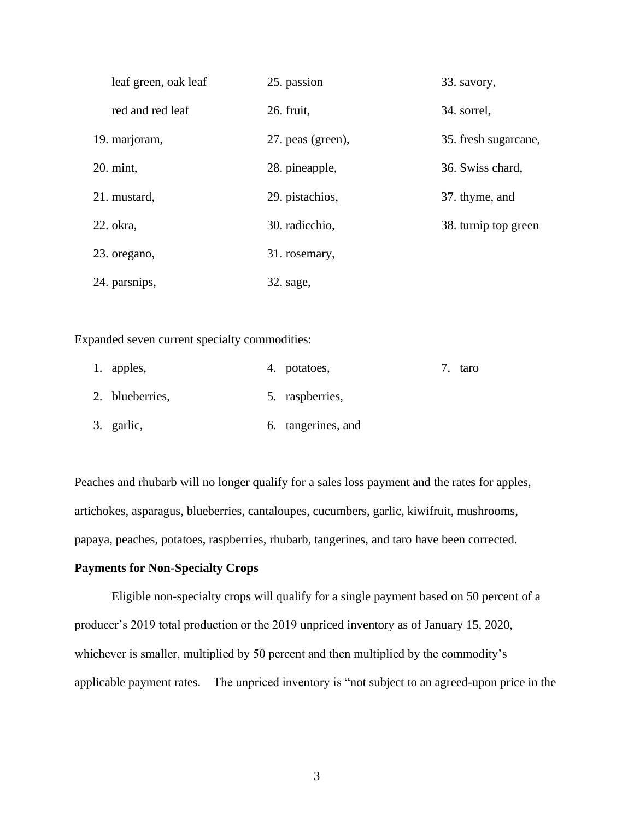| leaf green, oak leaf | 25. passion       | 33. savory,          |
|----------------------|-------------------|----------------------|
| red and red leaf     | 26. fruit,        | 34. sorrel,          |
| 19. marjoram,        | 27. peas (green), | 35. fresh sugarcane, |
| 20. mint,            | 28. pineapple,    | 36. Swiss chard,     |
| 21. mustard,         | 29. pistachios,   | 37. thyme, and       |
| 22. okra,            | 30. radicchio,    | 38. turnip top green |
| 23. oregano,         | 31. rosemary,     |                      |
| 24. parsnips,        | 32. sage,         |                      |

Expanded seven current specialty commodities:

| 1. apples,      | 4. potatoes,       | 7. taro |
|-----------------|--------------------|---------|
| 2. blueberries, | 5. raspberries,    |         |
| 3. garlic,      | 6. tangerines, and |         |

Peaches and rhubarb will no longer qualify for a sales loss payment and the rates for apples, artichokes, asparagus, blueberries, cantaloupes, cucumbers, garlic, kiwifruit, mushrooms, papaya, peaches, potatoes, raspberries, rhubarb, tangerines, and taro have been corrected.

#### **Payments for Non-Specialty Crops**

Eligible non-specialty crops will qualify for a single payment based on 50 percent of a producer's 2019 total production or the 2019 unpriced inventory as of January 15, 2020, whichever is smaller, multiplied by 50 percent and then multiplied by the commodity's applicable payment rates. The unpriced inventory is "not subject to an agreed-upon price in the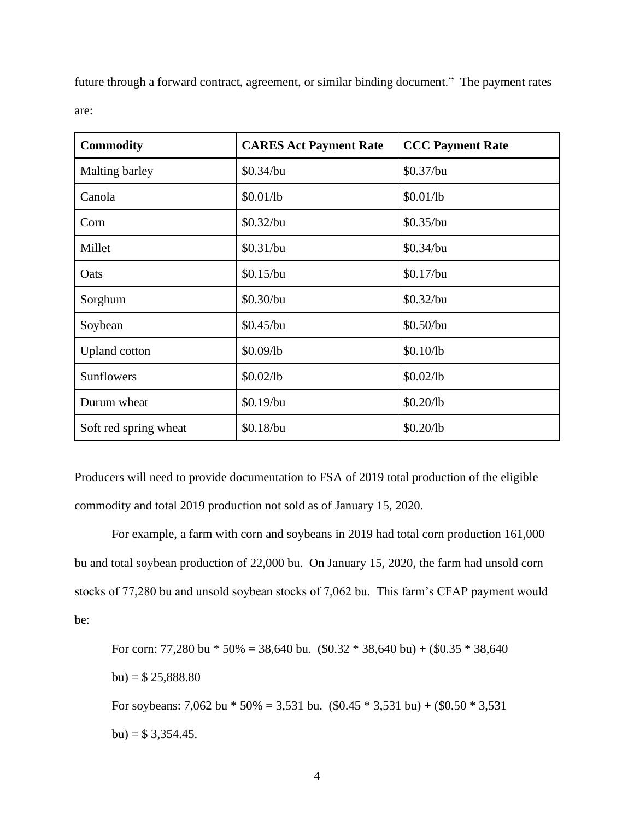future through a forward contract, agreement, or similar binding document." The payment rates are:

| <b>Commodity</b>      | <b>CARES Act Payment Rate</b> | <b>CCC Payment Rate</b> |
|-----------------------|-------------------------------|-------------------------|
| Malting barley        | \$0.34/bu                     | $$0.37$ /bu             |
| Canola                | \$0.01/lb                     | \$0.01/lb               |
| Corn                  | \$0.32/bu                     | \$0.35/bu               |
| Millet                | \$0.31/bu                     | \$0.34/bu               |
| Oats                  | \$0.15/bu                     | $$0.17$ /bu             |
| Sorghum               | \$0.30/bu                     | $$0.32$ /bu             |
| Soybean               | \$0.45/bu                     | \$0.50/bu               |
| <b>Upland</b> cotton  | \$0.09/lb                     | \$0.10/lb               |
| <b>Sunflowers</b>     | \$0.02/lb                     | \$0.02/lb               |
| Durum wheat           | \$0.19/bu                     | \$0.20/lb               |
| Soft red spring wheat | \$0.18/bu                     | \$0.20/lb               |

Producers will need to provide documentation to FSA of 2019 total production of the eligible commodity and total 2019 production not sold as of January 15, 2020.

For example, a farm with corn and soybeans in 2019 had total corn production 161,000 bu and total soybean production of 22,000 bu. On January 15, 2020, the farm had unsold corn stocks of 77,280 bu and unsold soybean stocks of 7,062 bu. This farm's CFAP payment would be:

For corn: 77,280 bu  $*$  50% = 38,640 bu. (\$0.32  $*$  38,640 bu) + (\$0.35  $*$  38,640  $bu) = $ 25,888.80$ For soybeans: 7,062 bu  $*$  50% = 3,531 bu. (\$0.45  $*$  3,531 bu) + (\$0.50  $*$  3,531 bu) =  $$3,354.45$ .

4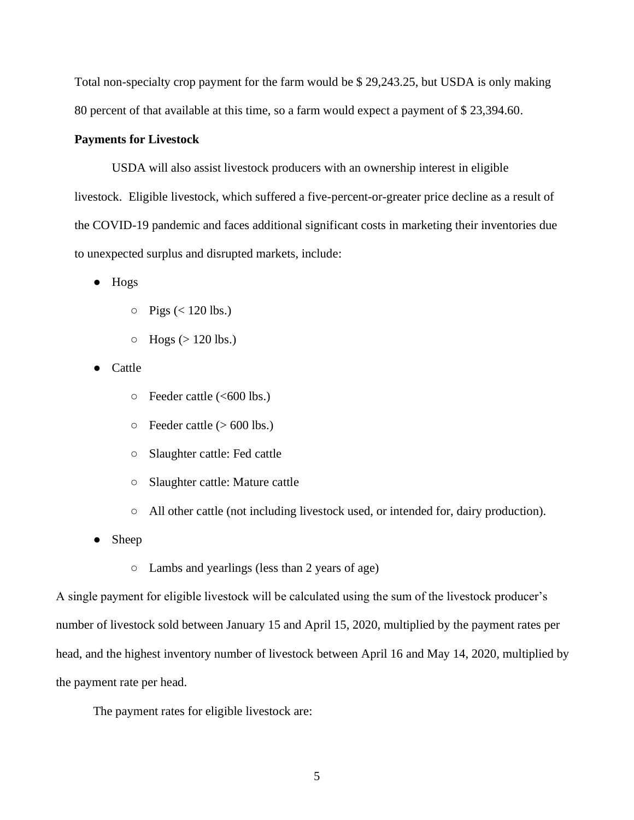Total non-specialty crop payment for the farm would be \$ 29,243.25, but USDA is only making 80 percent of that available at this time, so a farm would expect a payment of \$ 23,394.60.

#### **Payments for Livestock**

USDA will also assist livestock producers with an ownership interest in eligible livestock. Eligible livestock, which suffered a five-percent-or-greater price decline as a result of the COVID-19 pandemic and faces additional significant costs in marketing their inventories due to unexpected surplus and disrupted markets, include:

● Hogs

- $\circ$  Pigs (< 120 lbs.)
- $\circ$  Hogs ( $> 120$  lbs.)
- Cattle
	- Feeder cattle (<600 lbs.)
	- $\circ$  Feeder cattle ( $> 600$  lbs.)
	- Slaughter cattle: Fed cattle
	- Slaughter cattle: Mature cattle
	- All other cattle (not including livestock used, or intended for, dairy production).
- Sheep
	- Lambs and yearlings (less than 2 years of age)

A single payment for eligible livestock will be calculated using the sum of the livestock producer's number of livestock sold between January 15 and April 15, 2020, multiplied by the payment rates per head, and the highest inventory number of livestock between April 16 and May 14, 2020, multiplied by the payment rate per head.

The payment rates for eligible livestock are: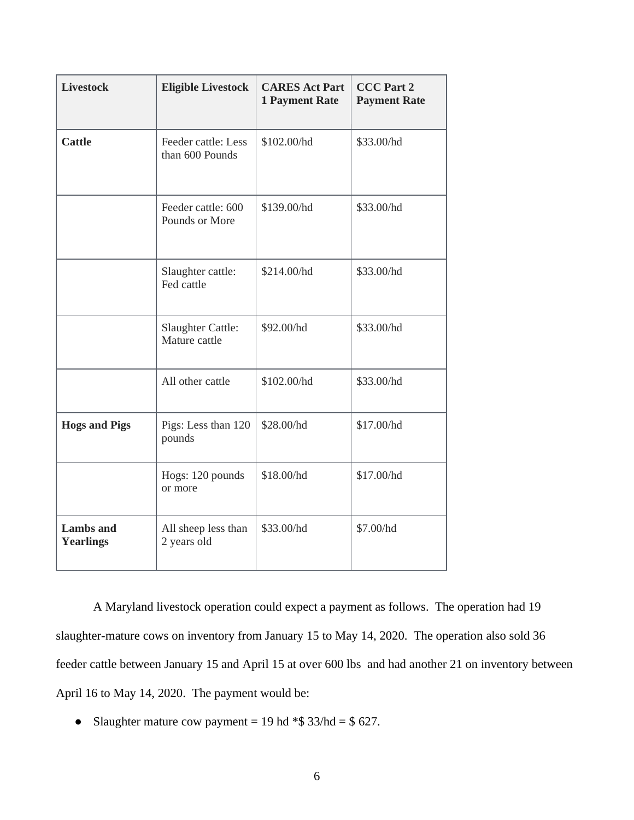| <b>Livestock</b>                     | <b>Eligible Livestock</b>                 | <b>CARES Act Part</b><br><b>1 Payment Rate</b> | <b>CCC Part 2</b><br><b>Payment Rate</b> |
|--------------------------------------|-------------------------------------------|------------------------------------------------|------------------------------------------|
| <b>Cattle</b>                        | Feeder cattle: Less<br>than 600 Pounds    | \$102.00/hd                                    | \$33.00/hd                               |
|                                      | Feeder cattle: 600<br>Pounds or More      | \$139.00/hd                                    | \$33.00/hd                               |
|                                      | Slaughter cattle:<br>Fed cattle           | \$214.00/hd                                    | \$33.00/hd                               |
|                                      | <b>Slaughter Cattle:</b><br>Mature cattle | \$92.00/hd                                     | \$33.00/hd                               |
|                                      | All other cattle                          | \$102.00/hd                                    | \$33.00/hd                               |
| <b>Hogs and Pigs</b>                 | Pigs: Less than 120<br>pounds             | \$28.00/hd                                     | \$17.00/hd                               |
|                                      | Hogs: 120 pounds<br>or more               | \$18.00/hd                                     | \$17.00/hd                               |
| <b>Lambs</b> and<br><b>Yearlings</b> | All sheep less than<br>2 years old        | \$33.00/hd                                     | \$7.00/hd                                |

A Maryland livestock operation could expect a payment as follows. The operation had 19 slaughter-mature cows on inventory from January 15 to May 14, 2020. The operation also sold 36 feeder cattle between January 15 and April 15 at over 600 lbs and had another 21 on inventory between April 16 to May 14, 2020. The payment would be:

• Slaughter mature cow payment = 19 hd  $*$ \$ 33/hd = \$ 627.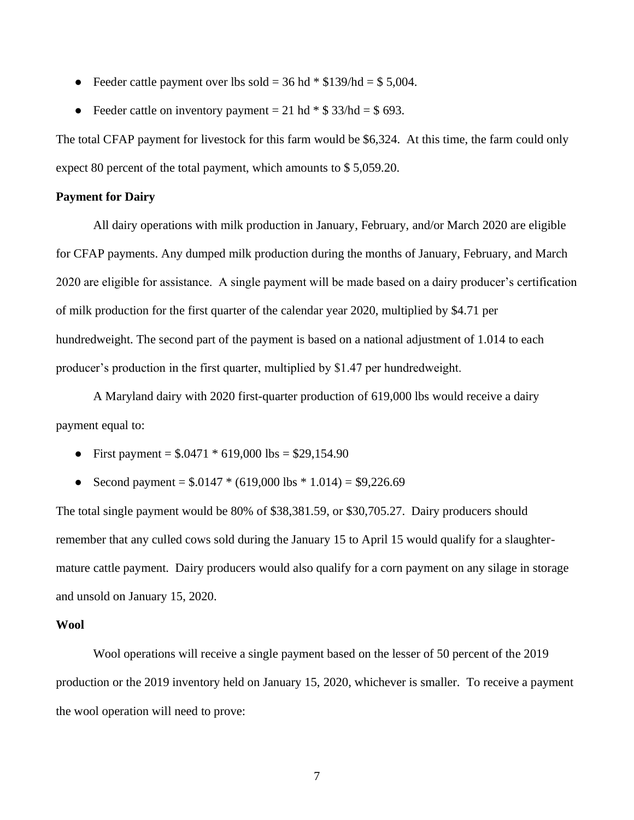- Feeder cattle payment over lbs sold =  $36$  hd  $*$  \$139/hd = \$5,004.
- Feeder cattle on inventory payment  $= 21$  hd  $*$  \$ 33/hd  $=$  \$ 693.

The total CFAP payment for livestock for this farm would be \$6,324. At this time, the farm could only expect 80 percent of the total payment, which amounts to \$ 5,059.20.

#### **Payment for Dairy**

All dairy operations with milk production in January, February, and/or March 2020 are eligible for CFAP payments. Any dumped milk production during the months of January, February, and March 2020 are eligible for assistance. A single payment will be made based on a dairy producer's certification of milk production for the first quarter of the calendar year 2020, multiplied by \$4.71 per hundredweight. The second part of the payment is based on a national adjustment of 1.014 to each producer's production in the first quarter, multiplied by \$1.47 per hundredweight.

A Maryland dairy with 2020 first-quarter production of 619,000 lbs would receive a dairy payment equal to:

- First payment =  $$.0471 * 619,000$  lbs =  $$29,154.90$
- Second payment =  $$.0147 * (619,000 \text{ lbs} * 1.014) = $9,226.69$

The total single payment would be 80% of \$38,381.59, or \$30,705.27. Dairy producers should remember that any culled cows sold during the January 15 to April 15 would qualify for a slaughtermature cattle payment. Dairy producers would also qualify for a corn payment on any silage in storage and unsold on January 15, 2020.

#### **Wool**

Wool operations will receive a single payment based on the lesser of 50 percent of the 2019 production or the 2019 inventory held on January 15, 2020, whichever is smaller. To receive a payment the wool operation will need to prove: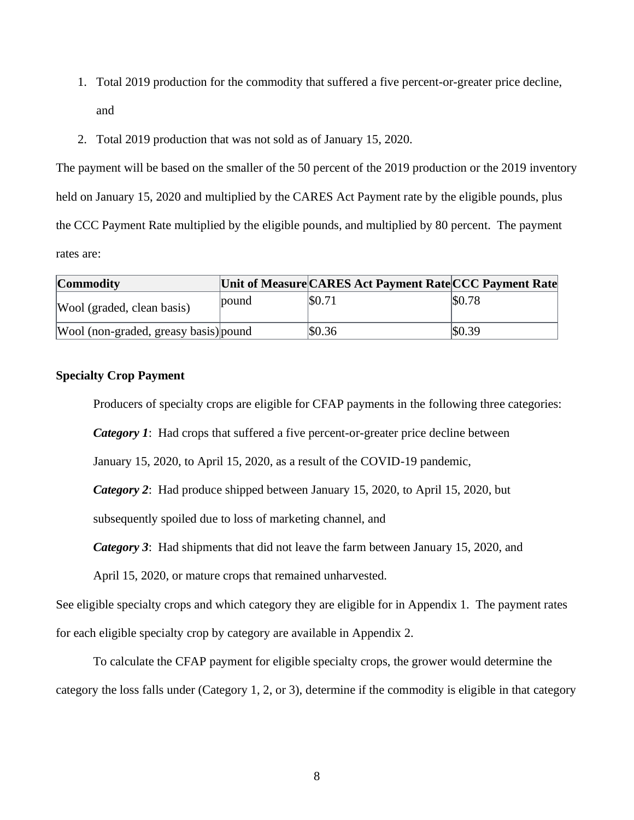- 1. Total 2019 production for the commodity that suffered a five percent-or-greater price decline, and
- 2. Total 2019 production that was not sold as of January 15, 2020.

The payment will be based on the smaller of the 50 percent of the 2019 production or the 2019 inventory held on January 15, 2020 and multiplied by the CARES Act Payment rate by the eligible pounds, plus the CCC Payment Rate multiplied by the eligible pounds, and multiplied by 80 percent. The payment rates are:

| <b>Commodity</b>                      |       | Unit of Measure CARES Act Payment Rate CCC Payment Rate |        |
|---------------------------------------|-------|---------------------------------------------------------|--------|
| Wool (graded, clean basis)            | pound | \$0.71                                                  | \$0.78 |
| Wool (non-graded, greasy basis) pound |       | \$0.36                                                  | \$0.39 |

## **Specialty Crop Payment**

Producers of specialty crops are eligible for CFAP payments in the following three categories:

*Category 1*: Had crops that suffered a five percent-or-greater price decline between

January 15, 2020, to April 15, 2020, as a result of the COVID-19 pandemic,

*Category 2*: Had produce shipped between January 15, 2020, to April 15, 2020, but

subsequently spoiled due to loss of marketing channel, and

*Category 3*: Had shipments that did not leave the farm between January 15, 2020, and

April 15, 2020, or mature crops that remained unharvested.

See eligible specialty crops and which category they are eligible for in Appendix 1. The payment rates for each eligible specialty crop by category are available in Appendix 2.

To calculate the CFAP payment for eligible specialty crops, the grower would determine the category the loss falls under (Category 1, 2, or 3), determine if the commodity is eligible in that category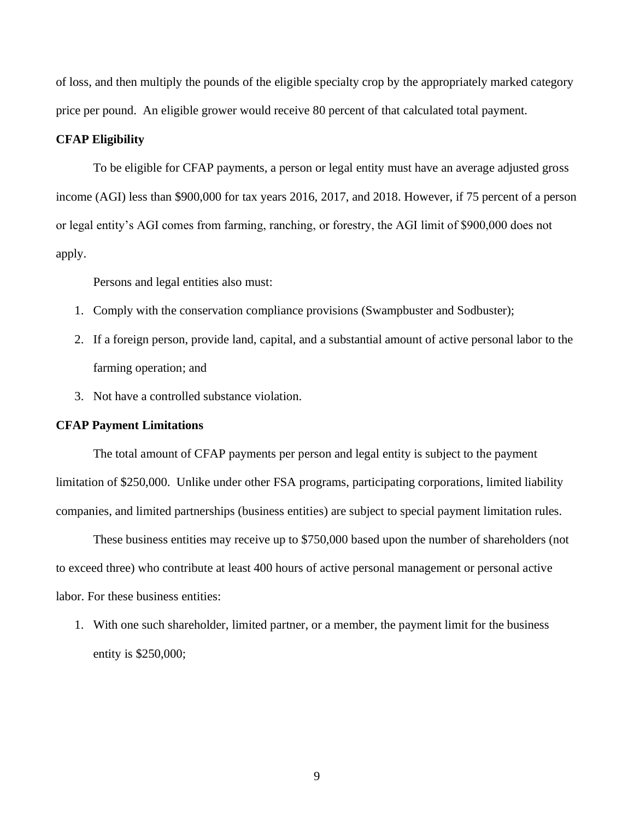of loss, and then multiply the pounds of the eligible specialty crop by the appropriately marked category price per pound. An eligible grower would receive 80 percent of that calculated total payment.

#### **CFAP Eligibility**

To be eligible for CFAP payments, a person or legal entity must have an average adjusted gross income (AGI) less than \$900,000 for tax years 2016, 2017, and 2018. However, if 75 percent of a person or legal entity's AGI comes from farming, ranching, or forestry, the AGI limit of \$900,000 does not apply.

Persons and legal entities also must:

- 1. Comply with the conservation compliance provisions (Swampbuster and Sodbuster);
- 2. If a foreign person, provide land, capital, and a substantial amount of active personal labor to the farming operation; and
- 3. Not have a controlled substance violation.

#### **CFAP Payment Limitations**

The total amount of CFAP payments per person and legal entity is subject to the payment limitation of \$250,000. Unlike under other FSA programs, participating corporations, limited liability companies, and limited partnerships (business entities) are subject to special payment limitation rules.

These business entities may receive up to \$750,000 based upon the number of shareholders (not to exceed three) who contribute at least 400 hours of active personal management or personal active labor. For these business entities:

1. With one such shareholder, limited partner, or a member, the payment limit for the business entity is \$250,000;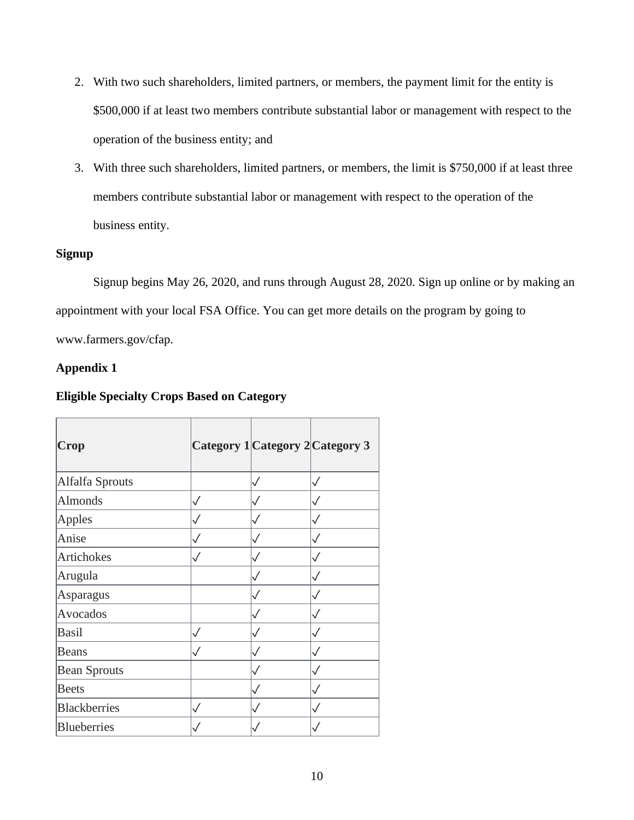- 2. With two such shareholders, limited partners, or members, the payment limit for the entity is \$500,000 if at least two members contribute substantial labor or management with respect to the operation of the business entity; and
- 3. With three such shareholders, limited partners, or members, the limit is \$750,000 if at least three members contribute substantial labor or management with respect to the operation of the business entity.

## **Signup**

Signup begins May 26, 2020, and runs through August 28, 2020. Sign up online or by making an appointment with your local FSA Office. You can get more details on the program by going to www.farmers.gov/cfap.

## **Appendix 1**

## **Eligible Specialty Crops Based on Category**

| <b>Crop</b>         |              | Category 1 Category 2 Category 3 |              |
|---------------------|--------------|----------------------------------|--------------|
| Alfalfa Sprouts     |              |                                  |              |
| <b>Almonds</b>      | $\checkmark$ |                                  |              |
| Apples              | $\checkmark$ |                                  | $\checkmark$ |
| Anise               |              |                                  | $\checkmark$ |
| Artichokes          | $\checkmark$ |                                  | $\checkmark$ |
| Arugula             |              |                                  |              |
| Asparagus           |              |                                  | $\checkmark$ |
| Avocados            |              |                                  |              |
| Basil               | $\checkmark$ |                                  | $\checkmark$ |
| Beans               |              |                                  |              |
| <b>Bean Sprouts</b> |              |                                  | $\checkmark$ |
| <b>Beets</b>        |              |                                  | $\checkmark$ |
| Blackberries        | $\checkmark$ |                                  | $\checkmark$ |
| Blueberries         |              |                                  |              |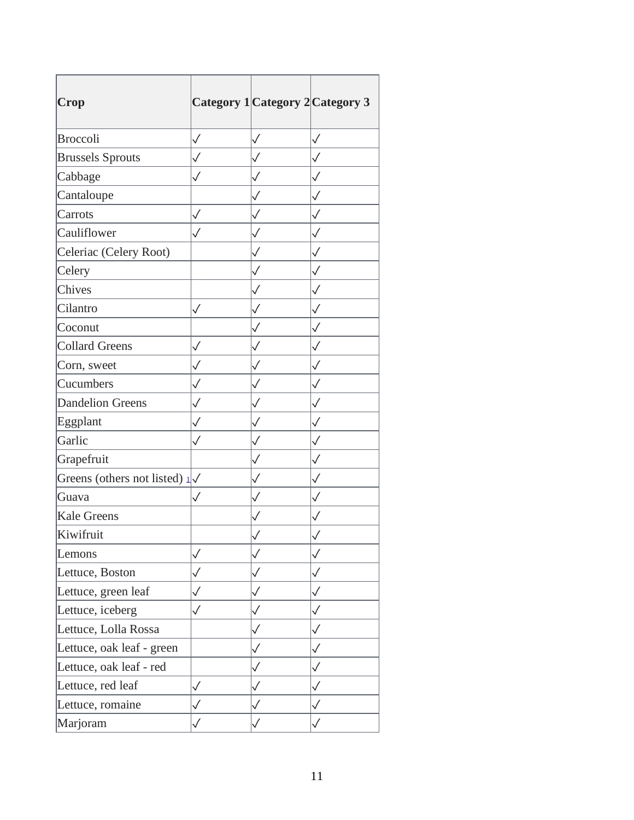| Crop                                    |              |              | Category 1 Category 2 Category 3 |
|-----------------------------------------|--------------|--------------|----------------------------------|
| <b>Broccoli</b>                         | $\checkmark$ | $\checkmark$ | $\checkmark$                     |
| <b>Brussels Sprouts</b>                 | $\checkmark$ |              | $\checkmark$                     |
| Cabbage                                 | $\checkmark$ | $\checkmark$ | $\checkmark$                     |
| Cantaloupe                              |              | $\checkmark$ | $\checkmark$                     |
| Carrots                                 | $\checkmark$ | $\checkmark$ | $\checkmark$                     |
| Cauliflower                             | $\checkmark$ | $\checkmark$ | $\checkmark$                     |
| Celeriac (Celery Root)                  |              | $\checkmark$ | $\checkmark$                     |
| Celery                                  |              |              | $\checkmark$                     |
| Chives                                  |              | $\checkmark$ | $\checkmark$                     |
| Cilantro                                | $\checkmark$ |              | $\checkmark$                     |
| Coconut                                 |              | $\checkmark$ | $\checkmark$                     |
| <b>Collard Greens</b>                   | $\checkmark$ |              | $\checkmark$                     |
| Corn, sweet                             | $\checkmark$ | $\checkmark$ | $\checkmark$                     |
| Cucumbers                               | $\checkmark$ | ✓            | $\checkmark$                     |
| <b>Dandelion Greens</b>                 | $\checkmark$ | $\checkmark$ | $\checkmark$                     |
| Eggplant                                | $\checkmark$ | $\checkmark$ | $\checkmark$                     |
| Garlic                                  | $\checkmark$ | $\checkmark$ | $\checkmark$                     |
| Grapefruit                              |              | $\checkmark$ | $\checkmark$                     |
| Greens (others not listed) $1/\sqrt{ }$ |              | $\checkmark$ | $\checkmark$                     |
| Guava                                   | $\checkmark$ | $\checkmark$ | $\checkmark$                     |
| <b>Kale Greens</b>                      |              | $\checkmark$ | $\checkmark$                     |
| Kiwifruit                               |              |              |                                  |
| Lemons                                  | $\checkmark$ |              | $\checkmark$                     |
| Lettuce, Boston                         | $\checkmark$ | $\checkmark$ | $\checkmark$                     |
| Lettuce, green leaf                     | $\checkmark$ | $\checkmark$ | $\checkmark$                     |
| Lettuce, iceberg                        | $\checkmark$ | $\checkmark$ | $\checkmark$                     |
| Lettuce, Lolla Rossa                    |              | $\checkmark$ | $\checkmark$                     |
| Lettuce, oak leaf - green               |              | $\checkmark$ | $\checkmark$                     |
| Lettuce, oak leaf - red                 |              | $\checkmark$ | $\checkmark$                     |
| Lettuce, red leaf                       | $\checkmark$ | $\checkmark$ | $\checkmark$                     |
| Lettuce, romaine                        | $\checkmark$ | $\checkmark$ | $\checkmark$                     |
| Marjoram                                |              |              | $\checkmark$                     |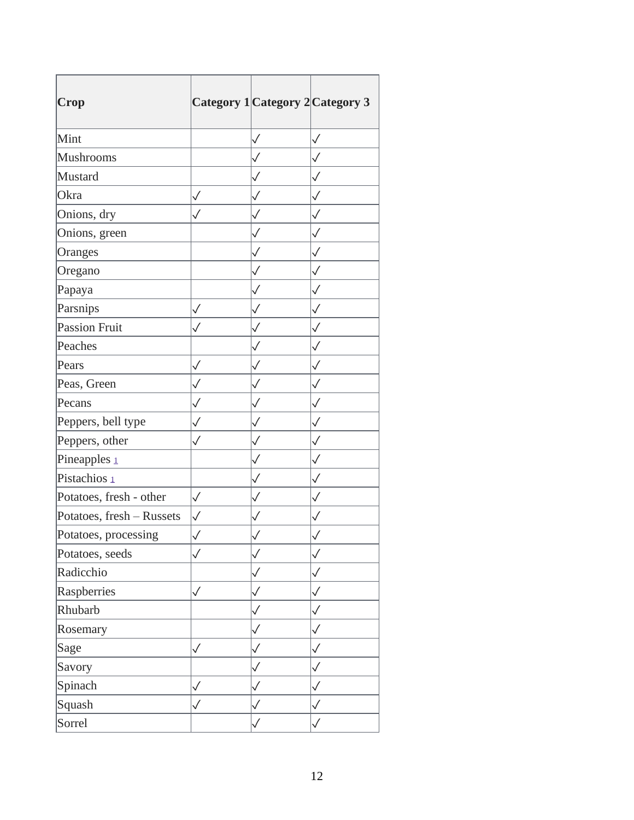| Crop                      |              |              | Category 1 Category 2 Category 3 |
|---------------------------|--------------|--------------|----------------------------------|
| Mint                      |              | $\checkmark$ | $\checkmark$                     |
| <b>Mushrooms</b>          |              | $\checkmark$ | $\checkmark$                     |
| Mustard                   |              | $\checkmark$ | $\checkmark$                     |
| Okra                      | $\checkmark$ | ✓            | ✓                                |
| Onions, dry               | $\checkmark$ | $\checkmark$ | $\checkmark$                     |
| Onions, green             |              | $\checkmark$ | $\checkmark$                     |
| Oranges                   |              | $\checkmark$ | $\checkmark$                     |
| Oregano                   |              |              | $\checkmark$                     |
| Papaya                    |              | $\checkmark$ | $\checkmark$                     |
| Parsnips                  | $\checkmark$ |              | $\checkmark$                     |
| Passion Fruit             | $\checkmark$ | $\checkmark$ | $\checkmark$                     |
| Peaches                   |              |              | $\checkmark$                     |
| Pears                     | $\checkmark$ | $\checkmark$ | $\checkmark$                     |
| Peas, Green               | $\checkmark$ | $\checkmark$ | $\checkmark$                     |
| Pecans                    | $\checkmark$ | $\checkmark$ | $\checkmark$                     |
| Peppers, bell type        | $\checkmark$ | $\checkmark$ | $\checkmark$                     |
| Peppers, other            | $\checkmark$ | $\checkmark$ | $\checkmark$                     |
| Pineapples <sub>1</sub>   |              | $\checkmark$ | $\checkmark$                     |
| Pistachios 1              |              | $\checkmark$ | $\checkmark$                     |
| Potatoes, fresh - other   | $\checkmark$ | $\checkmark$ | $\checkmark$                     |
| Potatoes, fresh - Russets | $\checkmark$ | $\checkmark$ | $\checkmark$                     |
| Potatoes, processing      |              |              | $\checkmark$                     |
| Potatoes, seeds           | $\checkmark$ |              | $\checkmark$                     |
| Radicchio                 |              | $\checkmark$ | $\checkmark$                     |
| Raspberries               | $\checkmark$ | $\checkmark$ | $\checkmark$                     |
| Rhubarb                   |              | $\checkmark$ | $\checkmark$                     |
| Rosemary                  |              | $\checkmark$ | $\checkmark$                     |
| Sage                      | $\checkmark$ | $\checkmark$ | $\checkmark$                     |
| Savory                    |              | $\checkmark$ | $\checkmark$                     |
| Spinach                   | $\checkmark$ |              | $\checkmark$                     |
| Squash                    | $\checkmark$ |              | $\checkmark$                     |
| Sorrel                    |              |              | $\checkmark$                     |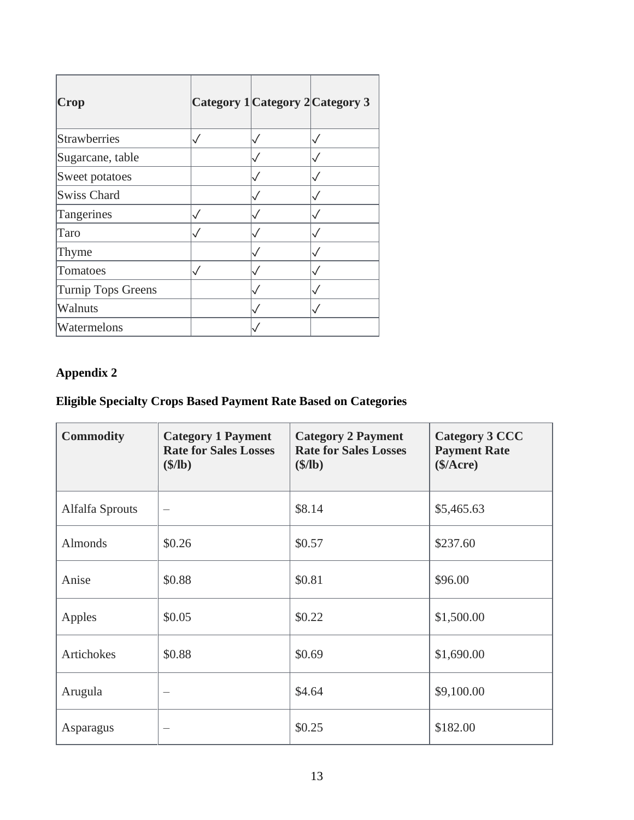| Crop                      | Category 1 Category 2 Category 3 |  |
|---------------------------|----------------------------------|--|
| <b>Strawberries</b>       |                                  |  |
| Sugarcane, table          |                                  |  |
| Sweet potatoes            |                                  |  |
| <b>Swiss Chard</b>        |                                  |  |
| Tangerines                |                                  |  |
| Taro                      |                                  |  |
| Thyme                     |                                  |  |
| Tomatoes                  |                                  |  |
| <b>Turnip Tops Greens</b> |                                  |  |
| <b>Walnuts</b>            |                                  |  |
| Watermelons               |                                  |  |

# **Appendix 2**

## **Eligible Specialty Crops Based Payment Rate Based on Categories**

| <b>Commodity</b> | <b>Category 1 Payment</b><br><b>Rate for Sales Losses</b><br>$$$ /lb) | <b>Category 2 Payment</b><br><b>Rate for Sales Losses</b><br>$$$ /lb) | <b>Category 3 CCC</b><br><b>Payment Rate</b><br>(\$/Arcre) |
|------------------|-----------------------------------------------------------------------|-----------------------------------------------------------------------|------------------------------------------------------------|
| Alfalfa Sprouts  | $\overbrace{\qquad \qquad }$                                          | \$8.14                                                                | \$5,465.63                                                 |
| <b>Almonds</b>   | \$0.26                                                                | \$0.57                                                                | \$237.60                                                   |
| Anise            | \$0.88                                                                | \$0.81                                                                | \$96.00                                                    |
| Apples           | \$0.05                                                                | \$0.22                                                                | \$1,500.00                                                 |
| Artichokes       | \$0.88                                                                | \$0.69                                                                | \$1,690.00                                                 |
| Arugula          |                                                                       | \$4.64                                                                | \$9,100.00                                                 |
| Asparagus        |                                                                       | \$0.25                                                                | \$182.00                                                   |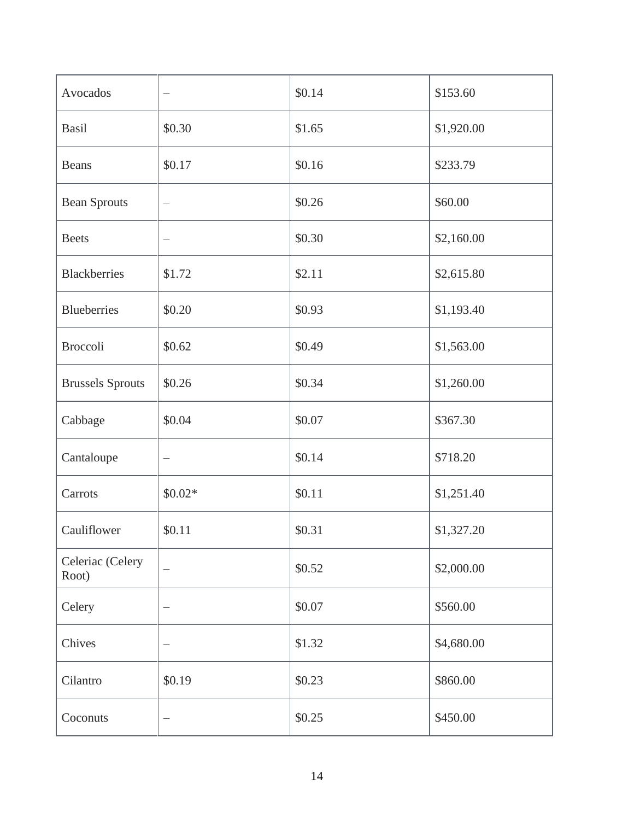| Avocados                  | $\qquad \qquad -$        | \$0.14 | \$153.60   |
|---------------------------|--------------------------|--------|------------|
| <b>Basil</b>              | \$0.30                   | \$1.65 | \$1,920.00 |
| <b>Beans</b>              | \$0.17                   | \$0.16 | \$233.79   |
| <b>Bean Sprouts</b>       |                          | \$0.26 | \$60.00    |
| <b>Beets</b>              | $\overline{\phantom{m}}$ | \$0.30 | \$2,160.00 |
| <b>Blackberries</b>       | \$1.72                   | \$2.11 | \$2,615.80 |
| <b>Blueberries</b>        | \$0.20                   | \$0.93 | \$1,193.40 |
| <b>Broccoli</b>           | \$0.62                   | \$0.49 | \$1,563.00 |
| <b>Brussels Sprouts</b>   | \$0.26                   | \$0.34 | \$1,260.00 |
| Cabbage                   | \$0.04                   | \$0.07 | \$367.30   |
| Cantaloupe                | $\equiv$                 | \$0.14 | \$718.20   |
| Carrots                   | $$0.02*$                 | \$0.11 | \$1,251.40 |
| Cauliflower               | \$0.11                   | \$0.31 | \$1,327.20 |
| Celeriac (Celery<br>Root) |                          | \$0.52 | \$2,000.00 |
| Celery                    |                          | \$0.07 | \$560.00   |
| Chives                    |                          | \$1.32 | \$4,680.00 |
| Cilantro                  | \$0.19                   | \$0.23 | \$860.00   |
| Coconuts                  | $\qquad \qquad -$        | \$0.25 | \$450.00   |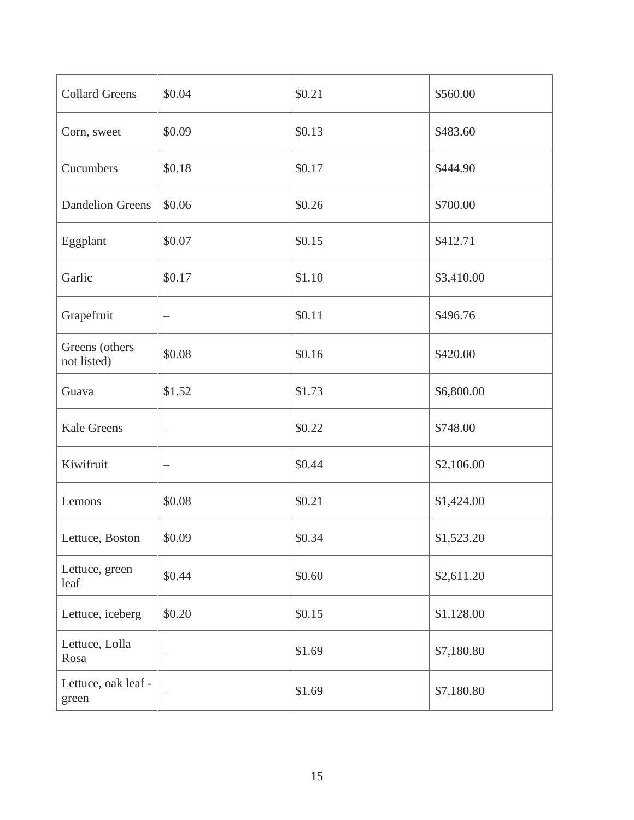| <b>Collard Greens</b>         | \$0.04 | \$0.21 | \$560.00   |
|-------------------------------|--------|--------|------------|
| Corn, sweet                   | \$0.09 | \$0.13 | \$483.60   |
| Cucumbers                     | \$0.18 | \$0.17 | \$444.90   |
| <b>Dandelion Greens</b>       | \$0.06 | \$0.26 | \$700.00   |
| Eggplant                      | \$0.07 | \$0.15 | \$412.71   |
| Garlic                        | \$0.17 | \$1.10 | \$3,410.00 |
| Grapefruit                    |        | \$0.11 | \$496.76   |
| Greens (others<br>not listed) | \$0.08 | \$0.16 | \$420.00   |
| Guava                         | \$1.52 | \$1.73 | \$6,800.00 |
| <b>Kale Greens</b>            |        | \$0.22 | \$748.00   |
| Kiwifruit                     |        | \$0.44 | \$2,106.00 |
| Lemons                        | \$0.08 | \$0.21 | \$1,424.00 |
| Lettuce, Boston               | \$0.09 | \$0.34 | \$1,523.20 |
| Lettuce, green<br>leaf        | \$0.44 | \$0.60 | \$2,611.20 |
| Lettuce, iceberg              | \$0.20 | \$0.15 | \$1,128.00 |
| Lettuce, Lolla<br>Rosa        |        | \$1.69 | \$7,180.80 |
| Lettuce, oak leaf -<br>green  |        | \$1.69 | \$7,180.80 |